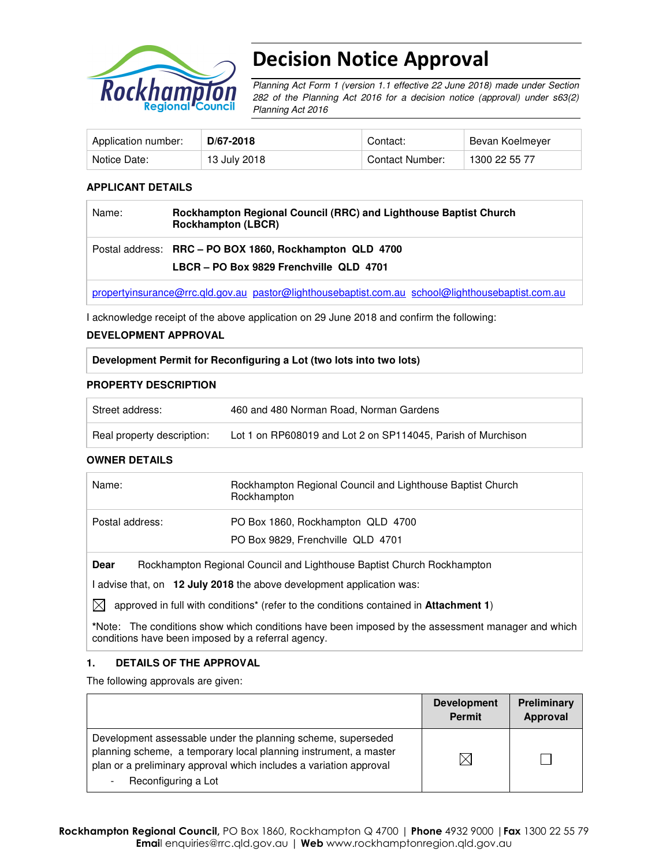

# Decision Notice Approval

Planning Act Form 1 (version 1.1 effective 22 June 2018) made under Section 282 of the Planning Act 2016 for a decision notice (approval) under s63(2) Planning Act 2016

| Application number: | D/67-2018    | Contact:        | Bevan Koelmeyer |
|---------------------|--------------|-----------------|-----------------|
| Notice Date:        | 13 July 2018 | Contact Number: | 1300 22 55 77   |

## **APPLICANT DETAILS**

| Name: | Rockhampton Regional Council (RRC) and Lighthouse Baptist Church<br><b>Rockhampton (LBCR)</b>                 |
|-------|---------------------------------------------------------------------------------------------------------------|
|       | Postal address: RRC - PO BOX 1860, Rockhampton QLD 4700                                                       |
|       | LBCR - PO Box 9829 Frenchville QLD 4701                                                                       |
|       | arguments des processes and entered in montage and delivered and determined and considered and considered and |

propertyinsurance@rrc.qld.gov.au pastor@lighthousebaptist.com.au school@lighthousebaptist.com.au

I acknowledge receipt of the above application on 29 June 2018 and confirm the following:

#### **DEVELOPMENT APPROVAL**

**Development Permit for Reconfiguring a Lot (two lots into two lots)** 

#### **PROPERTY DESCRIPTION**

| Street address:            | 460 and 480 Norman Road, Norman Gardens                      |
|----------------------------|--------------------------------------------------------------|
| Real property description: | Lot 1 on RP608019 and Lot 2 on SP114045, Parish of Murchison |

### **OWNER DETAILS**

| Name:           | Rockhampton Regional Council and Lighthouse Baptist Church<br>Rockhampton |
|-----------------|---------------------------------------------------------------------------|
| Postal address: | PO Box 1860, Rockhampton QLD 4700                                         |
|                 | PO Box 9829, Frenchville QLD 4701                                         |
|                 |                                                                           |

**Dear** Rockhampton Regional Council and Lighthouse Baptist Church Rockhampton

I advise that, on **12 July 2018** the above development application was:

 $\boxtimes$  approved in full with conditions<sup>\*</sup> (refer to the conditions contained in **Attachment 1**)

**\***Note:The conditions show which conditions have been imposed by the assessment manager and which conditions have been imposed by a referral agency.

### **1. DETAILS OF THE APPROVAL**

The following approvals are given:

|                                                                                                                                                                                                                               | <b>Development</b><br><b>Permit</b> | <b>Preliminary</b><br>Approval |
|-------------------------------------------------------------------------------------------------------------------------------------------------------------------------------------------------------------------------------|-------------------------------------|--------------------------------|
| Development assessable under the planning scheme, superseded<br>planning scheme, a temporary local planning instrument, a master<br>plan or a preliminary approval which includes a variation approval<br>Reconfiguring a Lot |                                     |                                |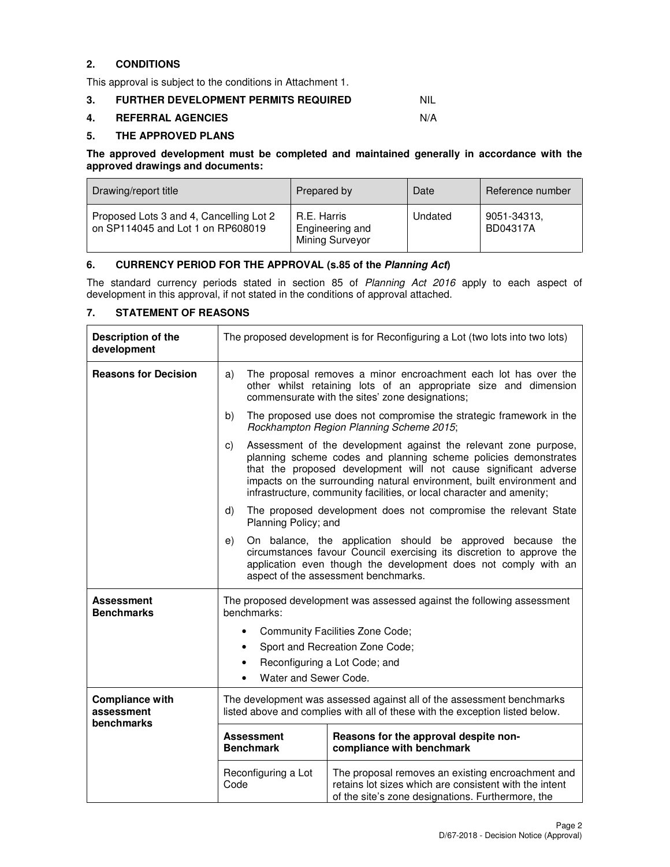## **2. CONDITIONS**

This approval is subject to the conditions in Attachment 1.

### **3. FURTHER DEVELOPMENT PERMITS REQUIRED NIL**

#### **4. REFERRAL AGENCIES** N/A

## **5. THE APPROVED PLANS**

**The approved development must be completed and maintained generally in accordance with the approved drawings and documents:** 

| Drawing/report title                                                         | Prepared by                                              | Date    | Reference number        |
|------------------------------------------------------------------------------|----------------------------------------------------------|---------|-------------------------|
| Proposed Lots 3 and 4, Cancelling Lot 2<br>on SP114045 and Lot 1 on RP608019 | R.E. Harris<br>Engineering and<br><b>Mining Surveyor</b> | Undated | 9051-34313,<br>BD04317A |

## **6. CURRENCY PERIOD FOR THE APPROVAL (s.85 of the Planning Act)**

The standard currency periods stated in section 85 of Planning Act 2016 apply to each aspect of development in this approval, if not stated in the conditions of approval attached.

## **7. STATEMENT OF REASONS**

| Description of the<br>development                  | The proposed development is for Reconfiguring a Lot (two lots into two lots)                                                                          |                                                                                                                                                                                                                                                                                                                                                           |  |  |
|----------------------------------------------------|-------------------------------------------------------------------------------------------------------------------------------------------------------|-----------------------------------------------------------------------------------------------------------------------------------------------------------------------------------------------------------------------------------------------------------------------------------------------------------------------------------------------------------|--|--|
| <b>Reasons for Decision</b>                        | a)                                                                                                                                                    | The proposal removes a minor encroachment each lot has over the<br>other whilst retaining lots of an appropriate size and dimension<br>commensurate with the sites' zone designations;                                                                                                                                                                    |  |  |
|                                                    | b)                                                                                                                                                    | The proposed use does not compromise the strategic framework in the<br>Rockhampton Region Planning Scheme 2015;                                                                                                                                                                                                                                           |  |  |
|                                                    | C)                                                                                                                                                    | Assessment of the development against the relevant zone purpose,<br>planning scheme codes and planning scheme policies demonstrates<br>that the proposed development will not cause significant adverse<br>impacts on the surrounding natural environment, built environment and<br>infrastructure, community facilities, or local character and amenity; |  |  |
|                                                    | d)<br>Planning Policy; and                                                                                                                            | The proposed development does not compromise the relevant State                                                                                                                                                                                                                                                                                           |  |  |
|                                                    | e)                                                                                                                                                    | On balance, the application should be approved because the<br>circumstances favour Council exercising its discretion to approve the<br>application even though the development does not comply with an<br>aspect of the assessment benchmarks.                                                                                                            |  |  |
| Assessment<br><b>Benchmarks</b>                    | The proposed development was assessed against the following assessment<br>benchmarks:                                                                 |                                                                                                                                                                                                                                                                                                                                                           |  |  |
|                                                    |                                                                                                                                                       | Community Facilities Zone Code;                                                                                                                                                                                                                                                                                                                           |  |  |
|                                                    | ٠                                                                                                                                                     | Sport and Recreation Zone Code;                                                                                                                                                                                                                                                                                                                           |  |  |
|                                                    |                                                                                                                                                       | Reconfiguring a Lot Code; and                                                                                                                                                                                                                                                                                                                             |  |  |
|                                                    | Water and Sewer Code.                                                                                                                                 |                                                                                                                                                                                                                                                                                                                                                           |  |  |
| <b>Compliance with</b><br>assessment<br>benchmarks | The development was assessed against all of the assessment benchmarks<br>listed above and complies with all of these with the exception listed below. |                                                                                                                                                                                                                                                                                                                                                           |  |  |
|                                                    | Reasons for the approval despite non-<br><b>Assessment</b><br><b>Benchmark</b><br>compliance with benchmark                                           |                                                                                                                                                                                                                                                                                                                                                           |  |  |
|                                                    | Reconfiguring a Lot<br>Code                                                                                                                           | The proposal removes an existing encroachment and<br>retains lot sizes which are consistent with the intent<br>of the site's zone designations. Furthermore, the                                                                                                                                                                                          |  |  |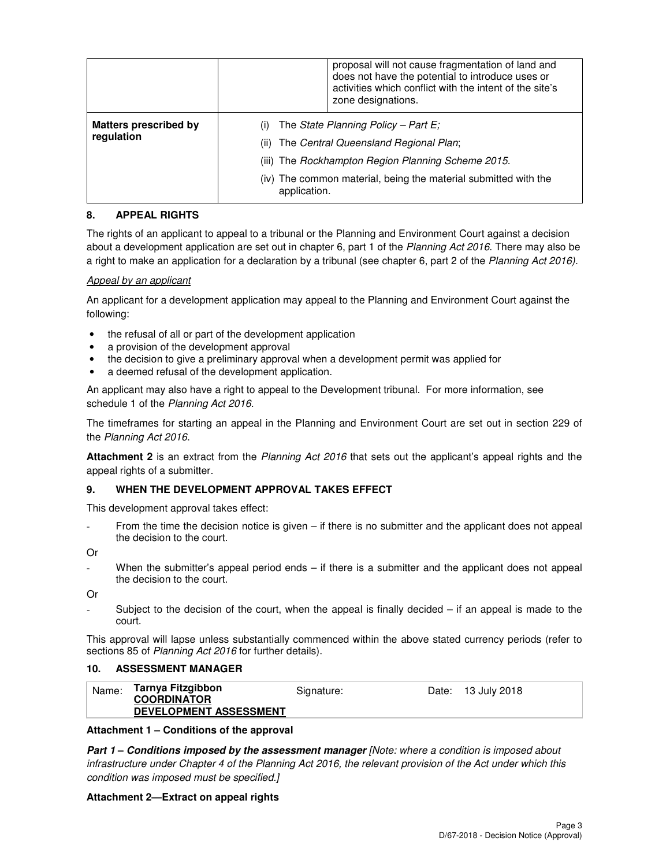|                                            | proposal will not cause fragmentation of land and<br>does not have the potential to introduce uses or<br>activities which conflict with the intent of the site's<br>zone designations.                                        |
|--------------------------------------------|-------------------------------------------------------------------------------------------------------------------------------------------------------------------------------------------------------------------------------|
| <b>Matters prescribed by</b><br>regulation | The State Planning Policy – Part E;<br>The Central Queensland Regional Plan;<br>(ii)<br>(iii) The Rockhampton Region Planning Scheme 2015.<br>(iv) The common material, being the material submitted with the<br>application. |

## **8. APPEAL RIGHTS**

The rights of an applicant to appeal to a tribunal or the Planning and Environment Court against a decision about a development application are set out in chapter 6, part 1 of the Planning Act 2016. There may also be a right to make an application for a declaration by a tribunal (see chapter 6, part 2 of the Planning Act 2016).

### Appeal by an applicant

An applicant for a development application may appeal to the Planning and Environment Court against the following:

- the refusal of all or part of the development application
- a provision of the development approval
- the decision to give a preliminary approval when a development permit was applied for
- a deemed refusal of the development application.

An applicant may also have a right to appeal to the Development tribunal. For more information, see schedule 1 of the Planning Act 2016.

The timeframes for starting an appeal in the Planning and Environment Court are set out in section 229 of the Planning Act 2016.

**Attachment 2** is an extract from the Planning Act 2016 that sets out the applicant's appeal rights and the appeal rights of a submitter.

### **9. WHEN THE DEVELOPMENT APPROVAL TAKES EFFECT**

This development approval takes effect:

From the time the decision notice is given – if there is no submitter and the applicant does not appeal the decision to the court.

Or

When the submitter's appeal period ends – if there is a submitter and the applicant does not appeal the decision to the court.

Or

Subject to the decision of the court, when the appeal is finally decided  $-$  if an appeal is made to the court.

This approval will lapse unless substantially commenced within the above stated currency periods (refer to sections 85 of Planning Act 2016 for further details).

## **10. ASSESSMENT MANAGER**

| Name: | Tarnya Fitzgibbon<br><b>COORDINATOR</b> | Signature: | Date: 13 July 2018 |
|-------|-----------------------------------------|------------|--------------------|
|       | <b>DEVELOPMENT ASSESSMENT</b>           |            |                    |

### **Attachment 1 – Conditions of the approval**

**Part 1 – Conditions imposed by the assessment manager** [Note: where a condition is imposed about infrastructure under Chapter 4 of the Planning Act 2016, the relevant provision of the Act under which this condition was imposed must be specified.]

#### **Attachment 2—Extract on appeal rights**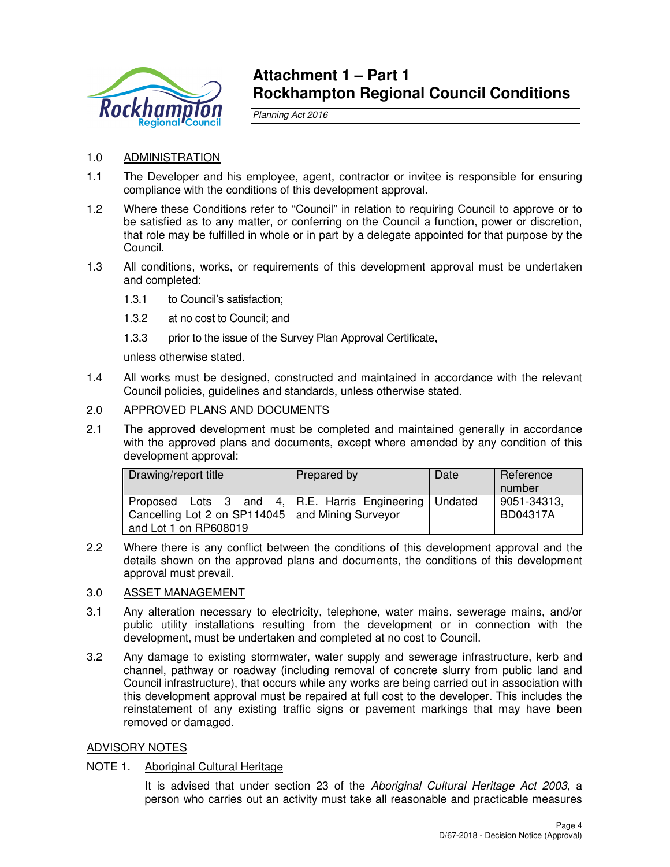

## **Attachment 1 – Part 1 Rockhampton Regional Council Conditions**

Planning Act 2016

## 1.0 ADMINISTRATION

- 1.1 The Developer and his employee, agent, contractor or invitee is responsible for ensuring compliance with the conditions of this development approval.
- 1.2 Where these Conditions refer to "Council" in relation to requiring Council to approve or to be satisfied as to any matter, or conferring on the Council a function, power or discretion, that role may be fulfilled in whole or in part by a delegate appointed for that purpose by the Council.
- 1.3 All conditions, works, or requirements of this development approval must be undertaken and completed:
	- 1.3.1 to Council's satisfaction;
	- 1.3.2 at no cost to Council; and
	- 1.3.3 prior to the issue of the Survey Plan Approval Certificate,

unless otherwise stated.

1.4 All works must be designed, constructed and maintained in accordance with the relevant Council policies, guidelines and standards, unless otherwise stated.

## 2.0 APPROVED PLANS AND DOCUMENTS

2.1 The approved development must be completed and maintained generally in accordance with the approved plans and documents, except where amended by any condition of this development approval:

| Drawing/report title                                                                                                                  | Prepared by | Date | Reference<br>number     |
|---------------------------------------------------------------------------------------------------------------------------------------|-------------|------|-------------------------|
| Proposed Lots 3 and 4, R.E. Harris Engineering Undated<br>Cancelling Lot 2 on SP114045   and Mining Surveyor<br>and Lot 1 on RP608019 |             |      | 9051-34313,<br>BD04317A |

2.2 Where there is any conflict between the conditions of this development approval and the details shown on the approved plans and documents, the conditions of this development approval must prevail.

## 3.0 ASSET MANAGEMENT

- 3.1 Any alteration necessary to electricity, telephone, water mains, sewerage mains, and/or public utility installations resulting from the development or in connection with the development, must be undertaken and completed at no cost to Council.
- 3.2 Any damage to existing stormwater, water supply and sewerage infrastructure, kerb and channel, pathway or roadway (including removal of concrete slurry from public land and Council infrastructure), that occurs while any works are being carried out in association with this development approval must be repaired at full cost to the developer. This includes the reinstatement of any existing traffic signs or pavement markings that may have been removed or damaged.

## ADVISORY NOTES

## NOTE 1. Aboriginal Cultural Heritage

It is advised that under section 23 of the Aboriginal Cultural Heritage Act 2003, a person who carries out an activity must take all reasonable and practicable measures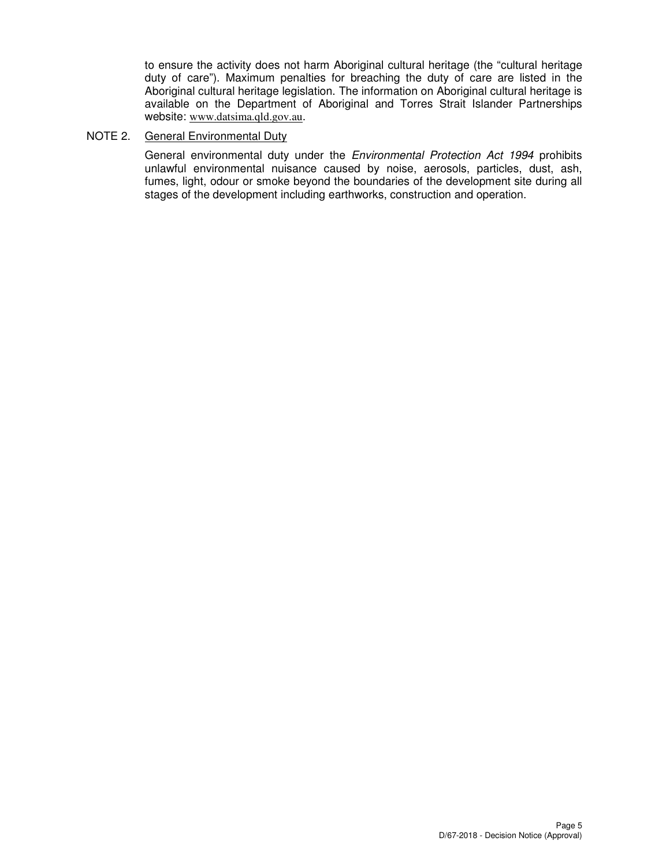to ensure the activity does not harm Aboriginal cultural heritage (the "cultural heritage duty of care"). Maximum penalties for breaching the duty of care are listed in the Aboriginal cultural heritage legislation. The information on Aboriginal cultural heritage is available on the Department of Aboriginal and Torres Strait Islander Partnerships website: www.datsima.qld.gov.au.

## NOTE 2. General Environmental Duty

General environmental duty under the *Environmental Protection Act 1994* prohibits unlawful environmental nuisance caused by noise, aerosols, particles, dust, ash, fumes, light, odour or smoke beyond the boundaries of the development site during all stages of the development including earthworks, construction and operation.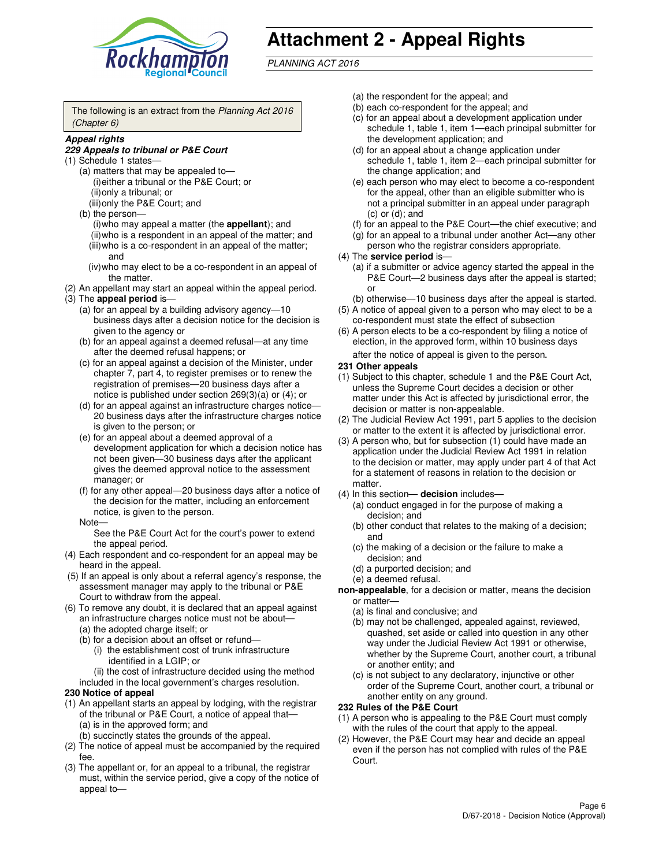

# **Attachment 2 - Appeal Rights**

PLANNING ACT 2016

The following is an extract from the Planning Act 2016 (Chapter 6)

#### **Appeal rights**

#### **229 Appeals to tribunal or P&E Court**

- (1) Schedule 1 states—
	- (a) matters that may be appealed to— (i) either a tribunal or the P&E Court; or (ii) only a tribunal; or (iii) only the P&E Court; and
	- (b) the person—
		- (i) who may appeal a matter (the **appellant**); and
		- (ii) who is a respondent in an appeal of the matter; and (iii) who is a co-respondent in an appeal of the matter; and
		- (iv) who may elect to be a co-respondent in an appeal of the matter.
- (2) An appellant may start an appeal within the appeal period.
- (3) The **appeal period** is—
	- (a) for an appeal by a building advisory agency—10 business days after a decision notice for the decision is given to the agency or
	- (b) for an appeal against a deemed refusal—at any time after the deemed refusal happens; or
	- (c) for an appeal against a decision of the Minister, under chapter 7, part 4, to register premises or to renew the registration of premises—20 business days after a notice is published under section 269(3)(a) or (4); or
	- (d) for an appeal against an infrastructure charges notice— 20 business days after the infrastructure charges notice is given to the person; or
	- (e) for an appeal about a deemed approval of a development application for which a decision notice has not been given—30 business days after the applicant gives the deemed approval notice to the assessment manager; or
	- (f) for any other appeal—20 business days after a notice of the decision for the matter, including an enforcement notice, is given to the person.
	- Note—

See the P&E Court Act for the court's power to extend the appeal period.

- (4) Each respondent and co-respondent for an appeal may be heard in the appeal.
- (5) If an appeal is only about a referral agency's response, the assessment manager may apply to the tribunal or P&E Court to withdraw from the appeal.
- (6) To remove any doubt, it is declared that an appeal against an infrastructure charges notice must not be about—
	- (a) the adopted charge itself; or
	- (b) for a decision about an offset or refund—
		- (i) the establishment cost of trunk infrastructure identified in a LGIP; or

(ii) the cost of infrastructure decided using the method

- included in the local government's charges resolution. **230 Notice of appeal**
- (1) An appellant starts an appeal by lodging, with the registrar of the tribunal or P&E Court, a notice of appeal that—
	- (a) is in the approved form; and
	- (b) succinctly states the grounds of the appeal.
- (2) The notice of appeal must be accompanied by the required fee.
- (3) The appellant or, for an appeal to a tribunal, the registrar must, within the service period, give a copy of the notice of appeal to—
- (a) the respondent for the appeal; and
- (b) each co-respondent for the appeal; and
- (c) for an appeal about a development application under schedule 1, table 1, item 1—each principal submitter for the development application; and
- (d) for an appeal about a change application under schedule 1, table 1, item 2—each principal submitter for the change application; and
- (e) each person who may elect to become a co-respondent for the appeal, other than an eligible submitter who is not a principal submitter in an appeal under paragraph  $(c)$  or  $(d)$ ; and
- (f) for an appeal to the P&E Court—the chief executive; and
- (g) for an appeal to a tribunal under another Act—any other person who the registrar considers appropriate.
- (4) The **service period** is—
	- (a) if a submitter or advice agency started the appeal in the P&E Court—2 business days after the appeal is started; or
	- (b) otherwise—10 business days after the appeal is started.
- (5) A notice of appeal given to a person who may elect to be a co-respondent must state the effect of subsection
- (6) A person elects to be a co-respondent by filing a notice of election, in the approved form, within 10 business days after the notice of appeal is given to the person*.*
- **231 Other appeals**
- (1) Subject to this chapter, schedule 1 and the P&E Court Act, unless the Supreme Court decides a decision or other matter under this Act is affected by jurisdictional error, the decision or matter is non-appealable.
- (2) The Judicial Review Act 1991, part 5 applies to the decision or matter to the extent it is affected by jurisdictional error.
- (3) A person who, but for subsection (1) could have made an application under the Judicial Review Act 1991 in relation to the decision or matter, may apply under part 4 of that Act for a statement of reasons in relation to the decision or matter.
- (4) In this section— **decision** includes—
	- (a) conduct engaged in for the purpose of making a decision; and
	- (b) other conduct that relates to the making of a decision; and
	- (c) the making of a decision or the failure to make a decision; and
	- (d) a purported decision; and
	- (e) a deemed refusal.

**non-appealable**, for a decision or matter, means the decision or matter—

- (a) is final and conclusive; and
- (b) may not be challenged, appealed against, reviewed, quashed, set aside or called into question in any other way under the Judicial Review Act 1991 or otherwise, whether by the Supreme Court, another court, a tribunal or another entity; and
- (c) is not subject to any declaratory, injunctive or other order of the Supreme Court, another court, a tribunal or another entity on any ground.

#### **232 Rules of the P&E Court**

- (1) A person who is appealing to the P&E Court must comply with the rules of the court that apply to the appeal.
- (2) However, the P&E Court may hear and decide an appeal even if the person has not complied with rules of the P&E Court.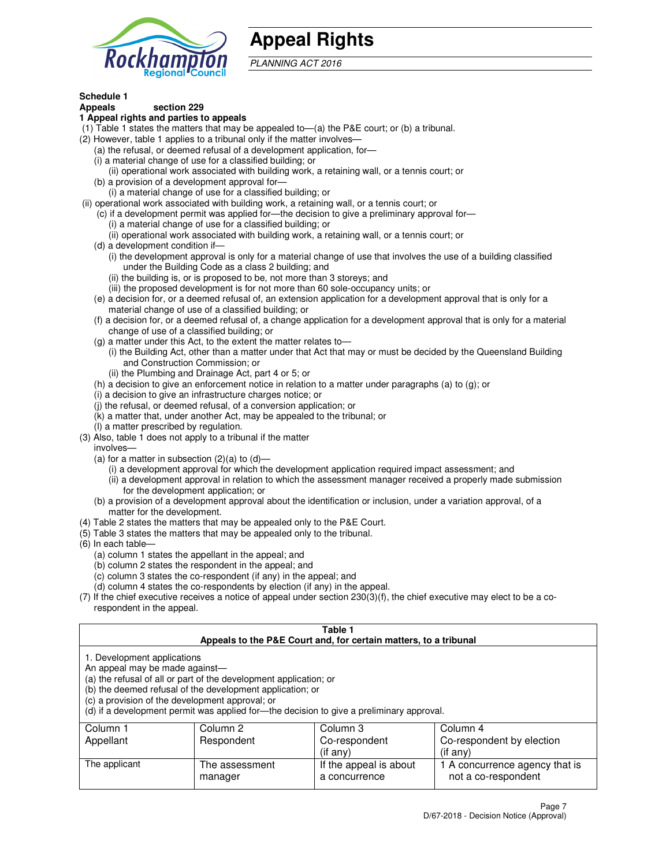

## **Appeal Rights**

PLANNING ACT 2016

## **Schedule 1**

## **Appeals section 229**

#### **1 Appeal rights and parties to appeals**

- (1) Table 1 states the matters that may be appealed to—(a) the P&E court; or (b) a tribunal.
- (2) However, table 1 applies to a tribunal only if the matter involves—
	- (a) the refusal, or deemed refusal of a development application, for—
	- (i) a material change of use for a classified building; or
	- (ii) operational work associated with building work, a retaining wall, or a tennis court; or
	- (b) a provision of a development approval for—
	- (i) a material change of use for a classified building; or
- (ii) operational work associated with building work, a retaining wall, or a tennis court; or
	- (c) if a development permit was applied for—the decision to give a preliminary approval for—
		- (i) a material change of use for a classified building; or
		- (ii) operational work associated with building work, a retaining wall, or a tennis court; or
	- (d) a development condition if—
		- (i) the development approval is only for a material change of use that involves the use of a building classified under the Building Code as a class 2 building; and
		- (ii) the building is, or is proposed to be, not more than 3 storeys; and
		- (iii) the proposed development is for not more than 60 sole-occupancy units; or
	- (e) a decision for, or a deemed refusal of, an extension application for a development approval that is only for a material change of use of a classified building; or
	- (f) a decision for, or a deemed refusal of, a change application for a development approval that is only for a material change of use of a classified building; or
	- (g) a matter under this Act, to the extent the matter relates to—
		- (i) the Building Act, other than a matter under that Act that may or must be decided by the Queensland Building and Construction Commission; or
		- (ii) the Plumbing and Drainage Act, part 4 or 5; or
	- (h) a decision to give an enforcement notice in relation to a matter under paragraphs (a) to (g); or
	- (i) a decision to give an infrastructure charges notice; or
	- (j) the refusal, or deemed refusal, of a conversion application; or
	- (k) a matter that, under another Act, may be appealed to the tribunal; or
	- (l) a matter prescribed by regulation.
- (3) Also, table 1 does not apply to a tribunal if the matter
	- involves—
	- (a) for a matter in subsection  $(2)(a)$  to  $(d)$ 
		- (i) a development approval for which the development application required impact assessment; and
		- (ii) a development approval in relation to which the assessment manager received a properly made submission for the development application; or
	- (b) a provision of a development approval about the identification or inclusion, under a variation approval, of a matter for the development.
- (4) Table 2 states the matters that may be appealed only to the P&E Court.
- (5) Table 3 states the matters that may be appealed only to the tribunal.
- (6) In each table—
	- (a) column 1 states the appellant in the appeal; and
	- (b) column 2 states the respondent in the appeal; and
	- (c) column 3 states the co-respondent (if any) in the appeal; and
	- (d) column 4 states the co-respondents by election (if any) in the appeal.
- (7) If the chief executive receives a notice of appeal under section 230(3)(f), the chief executive may elect to be a corespondent in the appeal.

| Table 1<br>Appeals to the P&E Court and, for certain matters, to a tribunal                                                                                                                                                                                                                                                                    |                           |                                                           |                                                                   |  |
|------------------------------------------------------------------------------------------------------------------------------------------------------------------------------------------------------------------------------------------------------------------------------------------------------------------------------------------------|---------------------------|-----------------------------------------------------------|-------------------------------------------------------------------|--|
| 1. Development applications<br>An appeal may be made against-<br>(a) the refusal of all or part of the development application; or<br>(b) the deemed refusal of the development application; or<br>(c) a provision of the development approval; or<br>(d) if a development permit was applied for-the decision to give a preliminary approval. |                           |                                                           |                                                                   |  |
| Column 1<br>Column 3<br>Column 2<br>Column 4<br>Appellant<br>Respondent<br>Co-respondent by election<br>Co-respondent                                                                                                                                                                                                                          |                           |                                                           |                                                                   |  |
| The applicant                                                                                                                                                                                                                                                                                                                                  | The assessment<br>manager | $($ if any $)$<br>If the appeal is about<br>a concurrence | (if any)<br>1 A concurrence agency that is<br>not a co-respondent |  |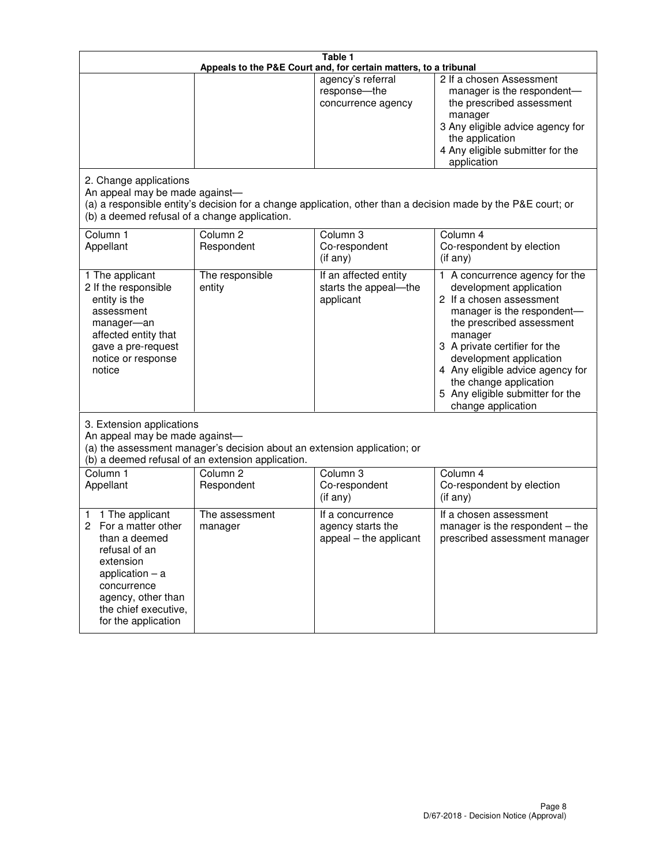| Table 1<br>Appeals to the P&E Court and, for certain matters, to a tribunal                                                                                                                             |                                                                                                                                                                                              |                                                                 |                                                                                                                                                                                                                                                                                                                                                 |  |  |
|---------------------------------------------------------------------------------------------------------------------------------------------------------------------------------------------------------|----------------------------------------------------------------------------------------------------------------------------------------------------------------------------------------------|-----------------------------------------------------------------|-------------------------------------------------------------------------------------------------------------------------------------------------------------------------------------------------------------------------------------------------------------------------------------------------------------------------------------------------|--|--|
|                                                                                                                                                                                                         |                                                                                                                                                                                              | agency's referral<br>response-the<br>concurrence agency         | 2 If a chosen Assessment<br>manager is the respondent-<br>the prescribed assessment<br>manager<br>3 Any eligible advice agency for<br>the application<br>4 Any eligible submitter for the<br>application                                                                                                                                        |  |  |
| 2. Change applications<br>An appeal may be made against-<br>(b) a deemed refusal of a change application.                                                                                               |                                                                                                                                                                                              |                                                                 | (a) a responsible entity's decision for a change application, other than a decision made by the P&E court; or                                                                                                                                                                                                                                   |  |  |
| Column 1<br>Appellant                                                                                                                                                                                   | Column <sub>2</sub><br>Respondent                                                                                                                                                            | Column <sub>3</sub><br>Co-respondent<br>(if any)                | Column 4<br>Co-respondent by election<br>(if any)                                                                                                                                                                                                                                                                                               |  |  |
| 1 The applicant<br>2 If the responsible<br>entity is the<br>assessment<br>manager-an<br>affected entity that<br>gave a pre-request<br>notice or response<br>notice                                      | The responsible<br>entity                                                                                                                                                                    | If an affected entity<br>starts the appeal-the<br>applicant     | 1 A concurrence agency for the<br>development application<br>2 If a chosen assessment<br>manager is the respondent-<br>the prescribed assessment<br>manager<br>3 A private certifier for the<br>development application<br>4 Any eligible advice agency for<br>the change application<br>5 Any eligible submitter for the<br>change application |  |  |
|                                                                                                                                                                                                         | 3. Extension applications<br>An appeal may be made against-<br>(a) the assessment manager's decision about an extension application; or<br>(b) a deemed refusal of an extension application. |                                                                 |                                                                                                                                                                                                                                                                                                                                                 |  |  |
| Column 1<br>Appellant                                                                                                                                                                                   | Column <sub>2</sub><br>Respondent                                                                                                                                                            | Column <sub>3</sub><br>Co-respondent<br>(if any)                | Column 4<br>Co-respondent by election<br>(if any)                                                                                                                                                                                                                                                                                               |  |  |
| 1 The applicant<br>1<br>For a matter other<br>2<br>than a deemed<br>refusal of an<br>extension<br>application $-$ a<br>concurrence<br>agency, other than<br>the chief executive,<br>for the application | The assessment<br>manager                                                                                                                                                                    | If a concurrence<br>agency starts the<br>appeal - the applicant | If a chosen assessment<br>manager is the respondent $-$ the<br>prescribed assessment manager                                                                                                                                                                                                                                                    |  |  |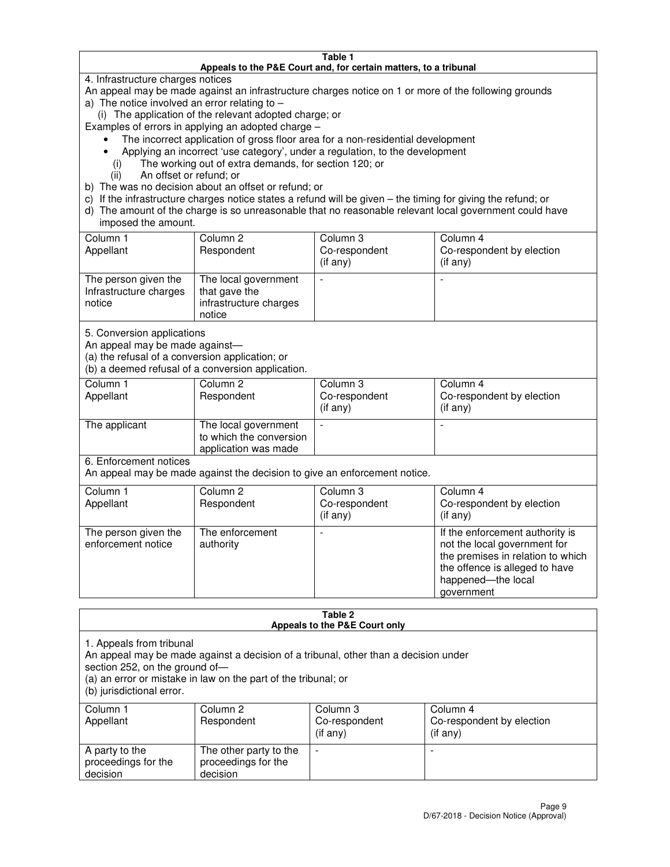#### **Table 1 Appeals to the P&E Court and, for certain matters, to a tribunal**

4. Infrastructure charges notices

An appeal may be made against an infrastructure charges notice on 1 or more of the following grounds

- a) The notice involved an error relating to
	- (i) The application of the relevant adopted charge; or

Examples of errors in applying an adopted charge –

- The incorrect application of gross floor area for a non-residential development
- Applying an incorrect 'use category', under a regulation, to the development
	- (i) The working out of extra demands, for section 120; or
	- (ii) An offset or refund; or
- b) The was no decision about an offset or refund; or
- c) If the infrastructure charges notice states a refund will be given the timing for giving the refund; or
- d) The amount of the charge is so unreasonable that no reasonable relevant local government could have imposed the amount.

| Column 1<br>Appellant                                    | Column 2<br>Respondent                                                    | Column 3<br>Co-respondent<br>$($ if any $)$ | Column 4<br>Co-respondent by election<br>$($ if any $)$ |
|----------------------------------------------------------|---------------------------------------------------------------------------|---------------------------------------------|---------------------------------------------------------|
| The person given the<br>Infrastructure charges<br>notice | The local government<br>that gave the<br>infrastructure charges<br>notice |                                             |                                                         |

5. Conversion applications

An appeal may be made against—

(a) the refusal of a conversion application; or

(b) a deemed refusal of a conversion application.

| Column 1<br>Appellant | Column 2<br>Respondent                                                  | Column 3<br>Co-respondent<br>$($ if any $)$ | Column 4<br>Co-respondent by election<br>$($ if any $)$ |
|-----------------------|-------------------------------------------------------------------------|---------------------------------------------|---------------------------------------------------------|
| The applicant         | The local government<br>to which the conversion<br>application was made |                                             |                                                         |

6. Enforcement notices

An appeal may be made against the decision to give an enforcement notice.

| Column 1<br>Appellant                      | Column 2<br>Respondent       | Column 3<br>Co-respondent<br>$($ if any $)$ | Column 4<br>Co-respondent by election<br>(if any)                                                                                                                          |
|--------------------------------------------|------------------------------|---------------------------------------------|----------------------------------------------------------------------------------------------------------------------------------------------------------------------------|
| The person given the<br>enforcement notice | The enforcement<br>authority |                                             | If the enforcement authority is<br>not the local government for<br>the premises in relation to which<br>the offence is alleged to have<br>happened-the local<br>government |

#### **Table 2 Appeals to the P&E Court only**

1. Appeals from tribunal

An appeal may be made against a decision of a tribunal, other than a decision under

section 252, on the ground of—

(a) an error or mistake in law on the part of the tribunal; or

(b) jurisdictional error.

| Column 1<br>Appellant                             | Column 2<br>Respondent                                    | Column 3<br>Co-respondent<br>(if any) | Column 4<br>Co-respondent by election<br>(if any) |
|---------------------------------------------------|-----------------------------------------------------------|---------------------------------------|---------------------------------------------------|
| A party to the<br>proceedings for the<br>decision | The other party to the<br>proceedings for the<br>decision | -                                     |                                                   |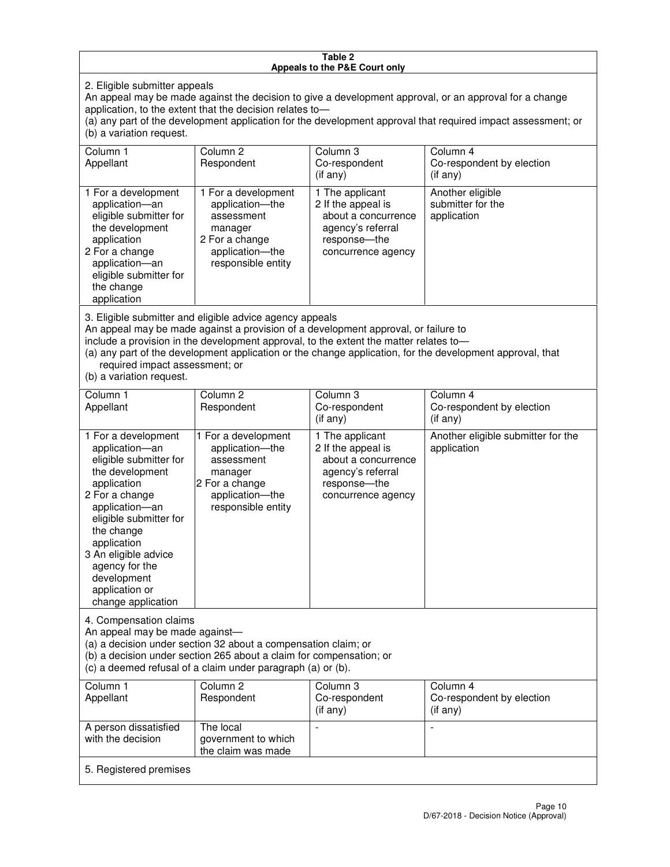#### **Table 2 Appeals to the P&E Court only**

2. Eligible submitter appeals

An appeal may be made against the decision to give a development approval, or an approval for a change application, to the extent that the decision relates to—

(a) any part of the development application for the development approval that required impact assessment; or (b) a variation request.

| Column 1<br>Appellant                                                                                                                                                                                                                                                                                                                                                                                              | Column <sub>2</sub><br>Respondent                                                                                          | Column 3<br>Co-respondent<br>(i f any)                                                                                    | Column 4<br>Co-respondent by election<br>(i f any)   |
|--------------------------------------------------------------------------------------------------------------------------------------------------------------------------------------------------------------------------------------------------------------------------------------------------------------------------------------------------------------------------------------------------------------------|----------------------------------------------------------------------------------------------------------------------------|---------------------------------------------------------------------------------------------------------------------------|------------------------------------------------------|
| 1 For a development<br>application-an<br>eligible submitter for<br>the development<br>application<br>2 For a change<br>application-an<br>eligible submitter for<br>the change<br>application                                                                                                                                                                                                                       | 1 For a development<br>application-the<br>assessment<br>manager<br>2 For a change<br>application-the<br>responsible entity | 1 The applicant<br>2 If the appeal is<br>about a concurrence<br>agency's referral<br>response---the<br>concurrence agency | Another eligible<br>submitter for the<br>application |
| 3. Eligible submitter and eligible advice agency appeals<br>An appeal may be made against a provision of a development approval, or failure to<br>include a provision in the development approval, to the extent the matter relates to-<br>(a) any part of the development application or the change application, for the development approval, that<br>required impact assessment; or<br>(b) a variation request. |                                                                                                                            |                                                                                                                           |                                                      |
| Column 1<br>Appellant                                                                                                                                                                                                                                                                                                                                                                                              | Column <sub>2</sub><br>Respondent                                                                                          | Column 3<br>Co-respondent<br>(if any)                                                                                     | Column 4<br>Co-respondent by election<br>$(if$ any)  |
| 1 For a development<br>application-an<br>eligible submitter for<br>the development                                                                                                                                                                                                                                                                                                                                 | 1 For a development<br>application-the<br>assessment<br>manager                                                            | 1 The applicant<br>2 If the appeal is<br>about a concurrence<br>agency's referral                                         | Another eligible submitter for the<br>application    |

response—the concurrence agency

change application 4. Compensation claims

application 2 For a change application—an eligible submitter for

the change application 3 An eligible advice agency for the development application or

An appeal may be made against—

(a) a decision under section 32 about a compensation claim; or

2 For a change application—the responsible entity

(b) a decision under section 265 about a claim for compensation; or

(c) a deemed refusal of a claim under paragraph (a) or (b).

| Column 1<br>Appellant                      | Column 2<br>Respondent                                 | Column 3<br>Co-respondent<br>(if any) | Column 4<br>Co-respondent by election<br>(if any) |
|--------------------------------------------|--------------------------------------------------------|---------------------------------------|---------------------------------------------------|
| A person dissatisfied<br>with the decision | The local<br>government to which<br>the claim was made |                                       |                                                   |
| 5. Registered premises                     |                                                        |                                       |                                                   |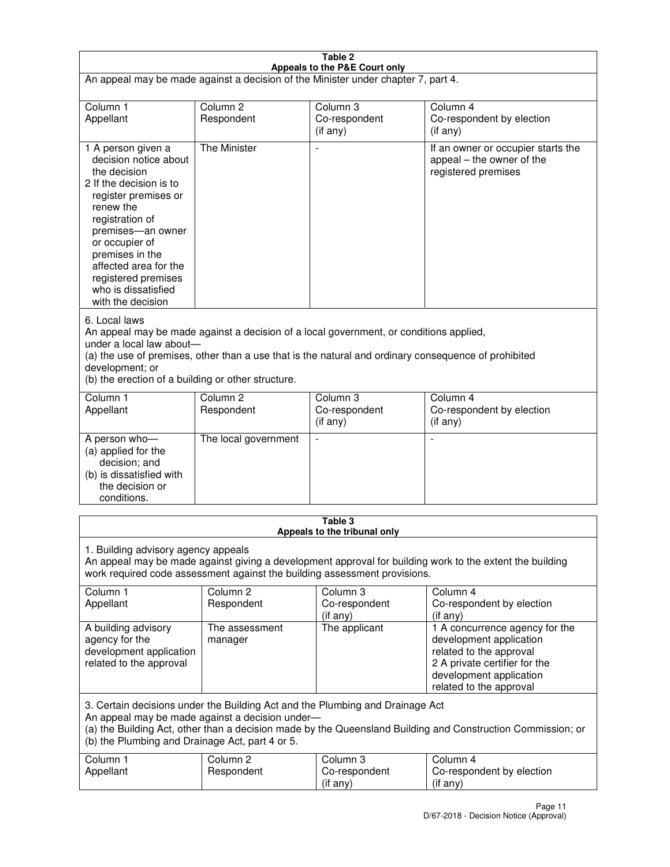| Table 2                                                                                                                                                                                                                                                                                                              |                                   |                                         |                                                                                                                                                                             |  |
|----------------------------------------------------------------------------------------------------------------------------------------------------------------------------------------------------------------------------------------------------------------------------------------------------------------------|-----------------------------------|-----------------------------------------|-----------------------------------------------------------------------------------------------------------------------------------------------------------------------------|--|
| Appeals to the P&E Court only<br>An appeal may be made against a decision of the Minister under chapter 7, part 4.                                                                                                                                                                                                   |                                   |                                         |                                                                                                                                                                             |  |
| Column 1                                                                                                                                                                                                                                                                                                             | Column <sub>2</sub>               | Column <sub>3</sub>                     | Column 4                                                                                                                                                                    |  |
| Appellant                                                                                                                                                                                                                                                                                                            | Respondent                        | Co-respondent<br>(if any)               | Co-respondent by election<br>(if any)                                                                                                                                       |  |
| 1 A person given a<br>decision notice about<br>the decision<br>2 If the decision is to<br>register premises or<br>renew the<br>registration of<br>premises-an owner<br>or occupier of<br>premises in the<br>affected area for the<br>registered premises<br>who is dissatisfied<br>with the decision                 | <b>The Minister</b>               | ÷,                                      | If an owner or occupier starts the<br>appeal – the owner of the<br>registered premises                                                                                      |  |
| 6. Local laws<br>An appeal may be made against a decision of a local government, or conditions applied,<br>under a local law about-<br>(a) the use of premises, other than a use that is the natural and ordinary consequence of prohibited<br>development; or<br>(b) the erection of a building or other structure. |                                   |                                         |                                                                                                                                                                             |  |
| Column 1<br>Appellant                                                                                                                                                                                                                                                                                                | Column 2<br>Respondent            | Column 3<br>Co-respondent<br>(if any)   | Column 4<br>Co-respondent by election<br>(if any)                                                                                                                           |  |
| A person who-<br>(a) applied for the<br>decision; and<br>(b) is dissatisfied with<br>the decision or<br>conditions.                                                                                                                                                                                                  | The local government              |                                         |                                                                                                                                                                             |  |
|                                                                                                                                                                                                                                                                                                                      |                                   | Table 3<br>Appeals to the tribunal only |                                                                                                                                                                             |  |
| 1. Building advisory agency appeals<br>An appeal may be made against giving a development approval for building work to the extent the building<br>work required code assessment against the building assessment provisions.                                                                                         |                                   |                                         |                                                                                                                                                                             |  |
| Column 1<br>Appellant                                                                                                                                                                                                                                                                                                | Column <sub>2</sub><br>Respondent | Column 3<br>Co-respondent<br>(if any)   | Column 4<br>Co-respondent by election<br>(if any)                                                                                                                           |  |
| A building advisory<br>agency for the<br>development application<br>related to the approval                                                                                                                                                                                                                          | The assessment<br>manager         | The applicant                           | 1 A concurrence agency for the<br>development application<br>related to the approval<br>2 A private certifier for the<br>development application<br>related to the approval |  |
| 3. Certain decisions under the Building Act and the Plumbing and Drainage Act<br>An appeal may be made against a decision under-<br>(a) the Building Act, other than a decision made by the Queensland Building and Construction Commission; or<br>(b) the Plumbing and Drainage Act, part 4 or 5.                   |                                   |                                         |                                                                                                                                                                             |  |
| Column 1<br>Appellant                                                                                                                                                                                                                                                                                                | Column <sub>2</sub><br>Respondent | Column 3<br>Co-respondent<br>(if any)   | Column 4<br>Co-respondent by election<br>(if any)                                                                                                                           |  |